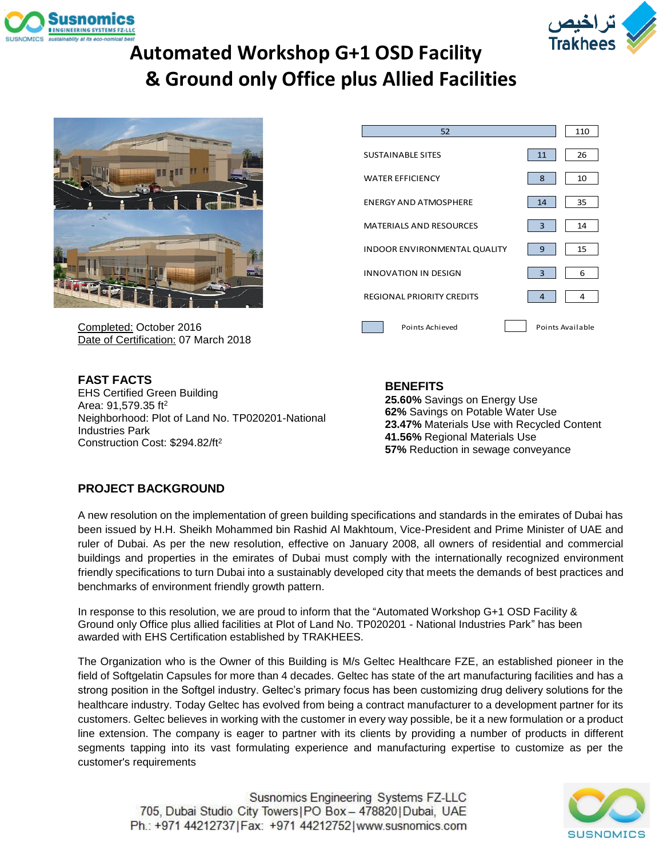



# **Automated Workshop G+1 OSD Facility & Ground only Office plus Allied Facilities**



Completed: October 2016 Date of Certification: 07 March 2018

| 52                                  |                  | 110 |
|-------------------------------------|------------------|-----|
| <b>SUSTAINABLE SITES</b>            | 11               | 26  |
| <b>WATER FEFICIENCY</b>             | 8                | 10  |
| <b>ENERGY AND ATMOSPHERE</b>        | 14               | 35  |
| <b>MATERIALS AND RESOURCES</b>      | 3                | 14  |
| <b>INDOOR ENVIRONMENTAL QUALITY</b> | 9                | 15  |
| <b>INNOVATION IN DESIGN</b>         | 3                | 6   |
| <b>REGIONAL PRIORITY CREDITS</b>    | $\overline{4}$   | 4   |
| Points Achieved                     | Points Available |     |

**FAST FACTS** EHS Certified Green Building Area: 91,579.35 ft<sup>2</sup> Neighborhood: Plot of Land No. TP020201-National Industries Park Construction Cost: \$294.82/ft<sup>2</sup>

### **BENEFITS**

**25.60%** Savings on Energy Use **62%** Savings on Potable Water Use **23.47%** Materials Use with Recycled Content **41.56%** Regional Materials Use **57%** Reduction in sewage conveyance

### **PROJECT BACKGROUND**

A new resolution on the implementation of green building specifications and standards in the emirates of Dubai has been issued by H.H. Sheikh Mohammed bin Rashid Al Makhtoum, Vice-President and Prime Minister of UAE and ruler of Dubai. As per the new resolution, effective on January 2008, all owners of residential and commercial buildings and properties in the emirates of Dubai must comply with the internationally recognized environment friendly specifications to turn Dubai into a sustainably developed city that meets the demands of best practices and benchmarks of environment friendly growth pattern.

In response to this resolution, we are proud to inform that the "Automated Workshop G+1 OSD Facility & Ground only Office plus allied facilities at Plot of Land No. TP020201 - National Industries Park" has been awarded with EHS Certification established by TRAKHEES.

The Organization who is the Owner of this Building is M/s Geltec Healthcare FZE, an established pioneer in the field of Softgelatin Capsules for more than 4 decades. Geltec has state of the art manufacturing facilities and has a strong position in the Softgel industry. Geltec's primary focus has been customizing drug delivery solutions for the healthcare industry. Today Geltec has evolved from being a contract manufacturer to a development partner for its customers. Geltec believes in working with the customer in every way possible, be it a new formulation or a product line extension. The company is eager to partner with its clients by providing a number of products in different segments tapping into its vast formulating experience and manufacturing expertise to customize as per the customer's requirements

Susnomics Engineering Systems FZ-LLC 705, Dubai Studio City Towers | PO Box - 478820 | Dubai, UAE Ph.: +971 44212737 | Fax: +971 44212752 | www.susnomics.com

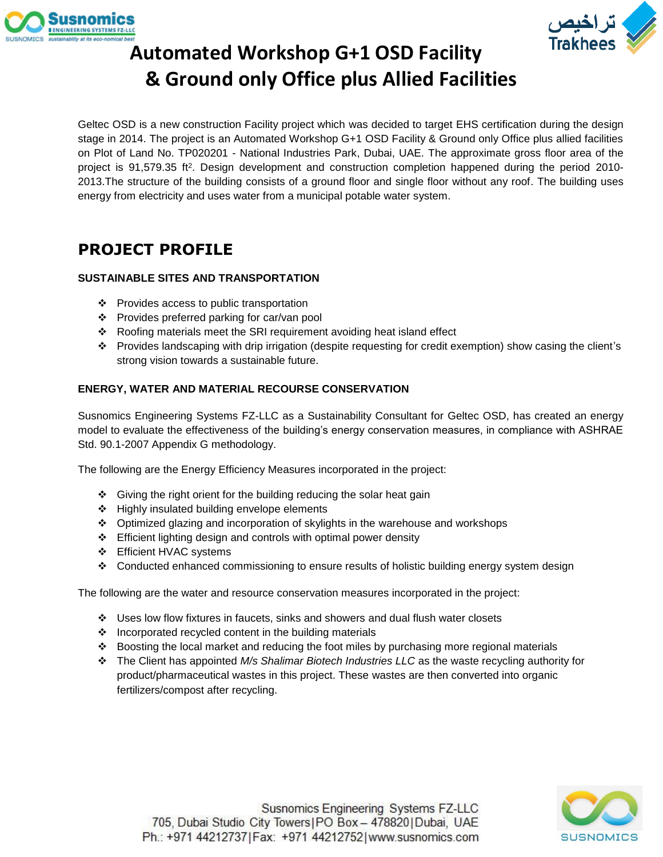



# **Automated Workshop G+1 OSD Facility & Ground only Office plus Allied Facilities**

Geltec OSD is a new construction Facility project which was decided to target EHS certification during the design stage in 2014. The project is an Automated Workshop G+1 OSD Facility & Ground only Office plus allied facilities on Plot of Land No. TP020201 - National Industries Park, Dubai, UAE. The approximate gross floor area of the project is 91,579.35 ft<sup>2</sup>. Design development and construction completion happened during the period 2010-2013.The structure of the building consists of a ground floor and single floor without any roof. The building uses energy from electricity and uses water from a municipal potable water system.

## **PROJECT PROFILE**

#### **SUSTAINABLE SITES AND TRANSPORTATION**

- ❖ Provides access to public transportation
- ❖ Provides preferred parking for car/van pool
- ❖ Roofing materials meet the SRI requirement avoiding heat island effect
- ❖ Provides landscaping with drip irrigation (despite requesting for credit exemption) show casing the client's strong vision towards a sustainable future.

### **ENERGY, WATER AND MATERIAL RECOURSE CONSERVATION**

Susnomics Engineering Systems FZ-LLC as a Sustainability Consultant for Geltec OSD, has created an energy model to evaluate the effectiveness of the building's energy conservation measures, in compliance with ASHRAE Std. 90.1-2007 Appendix G methodology.

The following are the Energy Efficiency Measures incorporated in the project:

- ❖ Giving the right orient for the building reducing the solar heat gain
- ❖ Highly insulated building envelope elements
- ❖ Optimized glazing and incorporation of skylights in the warehouse and workshops
- ❖ Efficient lighting design and controls with optimal power density
- ❖ Efficient HVAC systems
- ❖ Conducted enhanced commissioning to ensure results of holistic building energy system design

The following are the water and resource conservation measures incorporated in the project:

- ❖ Uses low flow fixtures in faucets, sinks and showers and dual flush water closets
- ❖ Incorporated recycled content in the building materials
- ❖ Boosting the local market and reducing the foot miles by purchasing more regional materials
- ❖ The Client has appointed *M/s Shalimar Biotech Industries LLC* as the waste recycling authority for product/pharmaceutical wastes in this project. These wastes are then converted into organic fertilizers/compost after recycling.